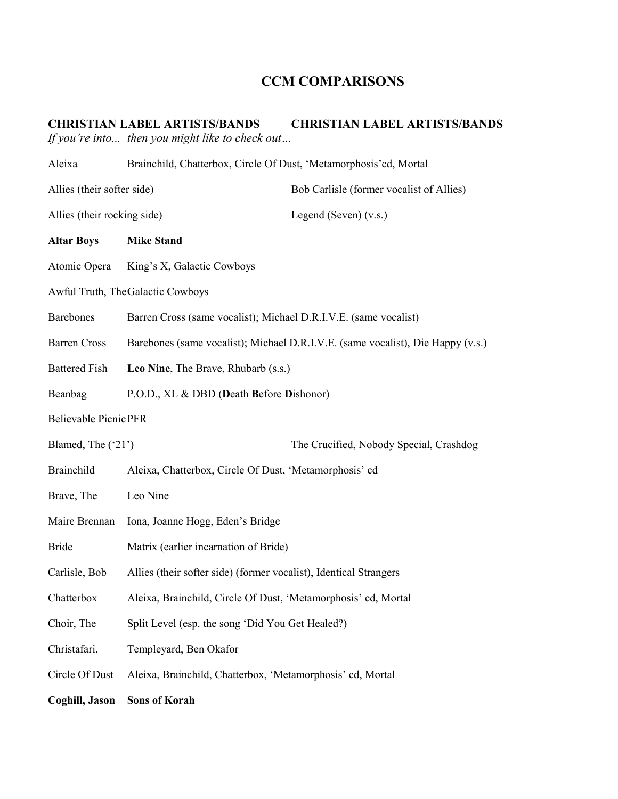## **CCM COMPARISONS**

## **CHRISTIAN LABEL ARTISTS/BANDS CHRISTIAN LABEL ARTISTS/BANDS** *If you're into... then you might like to check out…*

| Aleixa                       | Brainchild, Chatterbox, Circle Of Dust, 'Metamorphosis' cd, Mortal              |                                         |  |  |
|------------------------------|---------------------------------------------------------------------------------|-----------------------------------------|--|--|
| Allies (their softer side)   | Bob Carlisle (former vocalist of Allies)                                        |                                         |  |  |
| Allies (their rocking side)  |                                                                                 | Legend (Seven) $(v.s.)$                 |  |  |
| <b>Altar Boys</b>            | <b>Mike Stand</b>                                                               |                                         |  |  |
| Atomic Opera                 | King's X, Galactic Cowboys                                                      |                                         |  |  |
|                              | Awful Truth, TheGalactic Cowboys                                                |                                         |  |  |
| <b>Barebones</b>             | Barren Cross (same vocalist); Michael D.R.I.V.E. (same vocalist)                |                                         |  |  |
| <b>Barren Cross</b>          | Barebones (same vocalist); Michael D.R.I.V.E. (same vocalist), Die Happy (v.s.) |                                         |  |  |
| <b>Battered Fish</b>         | Leo Nine, The Brave, Rhubarb (s.s.)                                             |                                         |  |  |
| Beanbag                      | P.O.D., XL & DBD (Death Before Dishonor)                                        |                                         |  |  |
| <b>Believable Picnic PFR</b> |                                                                                 |                                         |  |  |
| Blamed, The ('21')           |                                                                                 | The Crucified, Nobody Special, Crashdog |  |  |
| <b>Brainchild</b>            | Aleixa, Chatterbox, Circle Of Dust, 'Metamorphosis' cd                          |                                         |  |  |
|                              |                                                                                 |                                         |  |  |
| Brave, The                   | Leo Nine                                                                        |                                         |  |  |
| Maire Brennan                | Iona, Joanne Hogg, Eden's Bridge                                                |                                         |  |  |
| <b>Bride</b>                 | Matrix (earlier incarnation of Bride)                                           |                                         |  |  |
| Carlisle, Bob                | Allies (their softer side) (former vocalist), Identical Strangers               |                                         |  |  |
| Chatterbox                   | Aleixa, Brainchild, Circle Of Dust, 'Metamorphosis' cd, Mortal                  |                                         |  |  |
| Choir, The                   | Split Level (esp. the song 'Did You Get Healed?)                                |                                         |  |  |
| Christafari,                 | Templeyard, Ben Okafor                                                          |                                         |  |  |
| Circle Of Dust               | Aleixa, Brainchild, Chatterbox, 'Metamorphosis' cd, Mortal                      |                                         |  |  |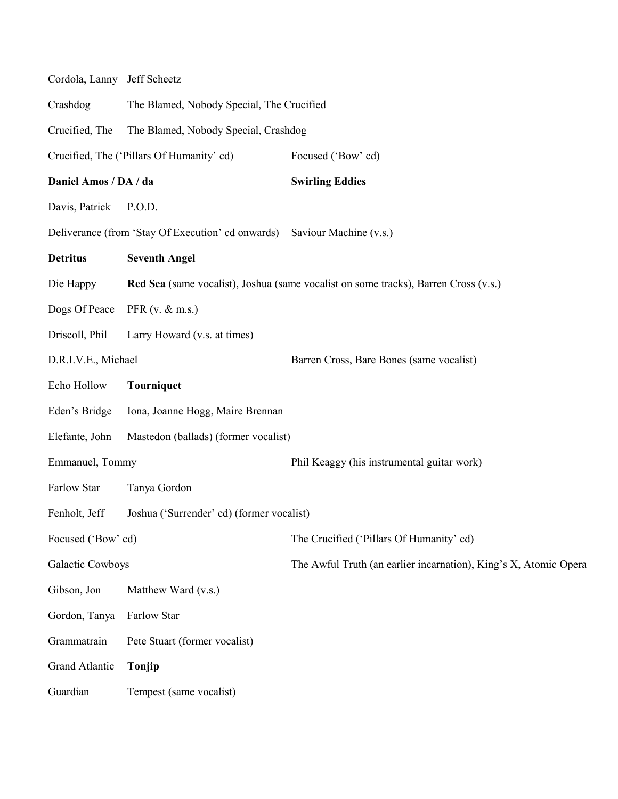| Cordola, Lanny Jeff Scheetz |                                                   |                                                                                     |  |
|-----------------------------|---------------------------------------------------|-------------------------------------------------------------------------------------|--|
| Crashdog                    | The Blamed, Nobody Special, The Crucified         |                                                                                     |  |
| Crucified, The              | The Blamed, Nobody Special, Crashdog              |                                                                                     |  |
|                             | Crucified, The ('Pillars Of Humanity' cd)         | Focused ('Bow' cd)                                                                  |  |
| Daniel Amos / DA / da       |                                                   | <b>Swirling Eddies</b>                                                              |  |
| Davis, Patrick              | P.O.D.                                            |                                                                                     |  |
|                             | Deliverance (from 'Stay Of Execution' cd onwards) | Saviour Machine (v.s.)                                                              |  |
| <b>Detritus</b>             | <b>Seventh Angel</b>                              |                                                                                     |  |
| Die Happy                   |                                                   | Red Sea (same vocalist), Joshua (same vocalist on some tracks), Barren Cross (v.s.) |  |
| Dogs Of Peace               | PFR $(v, \& \text{m.s.})$                         |                                                                                     |  |
| Driscoll, Phil              | Larry Howard (v.s. at times)                      |                                                                                     |  |
| D.R.I.V.E., Michael         |                                                   | Barren Cross, Bare Bones (same vocalist)                                            |  |
| Echo Hollow                 | <b>Tourniquet</b>                                 |                                                                                     |  |
| Eden's Bridge               | Iona, Joanne Hogg, Maire Brennan                  |                                                                                     |  |
| Elefante, John              | Mastedon (ballads) (former vocalist)              |                                                                                     |  |
| Emmanuel, Tommy             |                                                   | Phil Keaggy (his instrumental guitar work)                                          |  |
| Farlow Star                 | Tanya Gordon                                      |                                                                                     |  |
| Fenholt, Jeff               | Joshua ('Surrender' cd) (former vocalist)         |                                                                                     |  |
| Focused ('Bow' cd)          |                                                   | The Crucified ('Pillars Of Humanity' cd)                                            |  |
| Galactic Cowboys            |                                                   | The Awful Truth (an earlier incarnation), King's X, Atomic Opera                    |  |
| Gibson, Jon                 | Matthew Ward (v.s.)                               |                                                                                     |  |
| Gordon, Tanya               | Farlow Star                                       |                                                                                     |  |
| Grammatrain                 | Pete Stuart (former vocalist)                     |                                                                                     |  |
| Grand Atlantic              | Tonjip                                            |                                                                                     |  |
| Guardian                    | Tempest (same vocalist)                           |                                                                                     |  |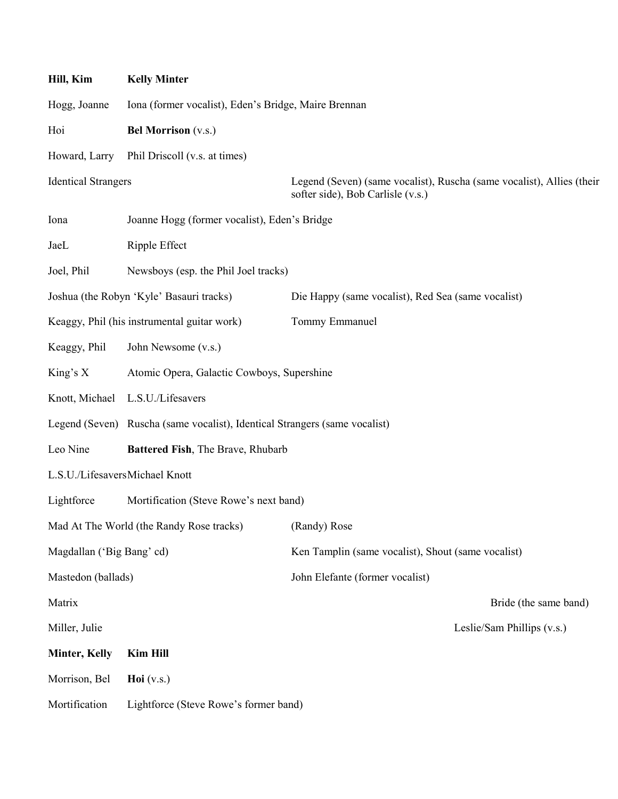| Hill, Kim                      | <b>Kelly Minter</b>                                                        |                                                                                                            |  |
|--------------------------------|----------------------------------------------------------------------------|------------------------------------------------------------------------------------------------------------|--|
| Hogg, Joanne                   | Iona (former vocalist), Eden's Bridge, Maire Brennan                       |                                                                                                            |  |
| Hoi                            | <b>Bel Morrison</b> (v.s.)                                                 |                                                                                                            |  |
| Howard, Larry                  | Phil Driscoll (v.s. at times)                                              |                                                                                                            |  |
| <b>Identical Strangers</b>     |                                                                            | Legend (Seven) (same vocalist), Ruscha (same vocalist), Allies (their<br>softer side), Bob Carlisle (v.s.) |  |
| Iona                           | Joanne Hogg (former vocalist), Eden's Bridge                               |                                                                                                            |  |
| JaeL                           | Ripple Effect                                                              |                                                                                                            |  |
| Joel, Phil                     | Newsboys (esp. the Phil Joel tracks)                                       |                                                                                                            |  |
|                                | Joshua (the Robyn 'Kyle' Basauri tracks)                                   | Die Happy (same vocalist), Red Sea (same vocalist)                                                         |  |
|                                | Keaggy, Phil (his instrumental guitar work)                                | Tommy Emmanuel                                                                                             |  |
| Keaggy, Phil                   | John Newsome (v.s.)                                                        |                                                                                                            |  |
| King's $X$                     | Atomic Opera, Galactic Cowboys, Supershine                                 |                                                                                                            |  |
| Knott, Michael                 | L.S.U./Lifesavers                                                          |                                                                                                            |  |
|                                | Legend (Seven) Ruscha (same vocalist), Identical Strangers (same vocalist) |                                                                                                            |  |
| Leo Nine                       | Battered Fish, The Brave, Rhubarb                                          |                                                                                                            |  |
| L.S.U./LifesaversMichael Knott |                                                                            |                                                                                                            |  |
| Lightforce                     | Mortification (Steve Rowe's next band)                                     |                                                                                                            |  |
|                                | Mad At The World (the Randy Rose tracks)                                   | (Randy) Rose                                                                                               |  |
| Magdallan ('Big Bang' cd)      |                                                                            | Ken Tamplin (same vocalist), Shout (same vocalist)                                                         |  |
| Mastedon (ballads)             |                                                                            | John Elefante (former vocalist)                                                                            |  |
| Matrix                         |                                                                            | Bride (the same band)                                                                                      |  |
| Miller, Julie                  |                                                                            | Leslie/Sam Phillips (v.s.)                                                                                 |  |
| <b>Minter, Kelly</b>           | <b>Kim Hill</b>                                                            |                                                                                                            |  |
| Morrison, Bel                  | Hoi $(v.s.)$                                                               |                                                                                                            |  |
| Mortification                  | Lightforce (Steve Rowe's former band)                                      |                                                                                                            |  |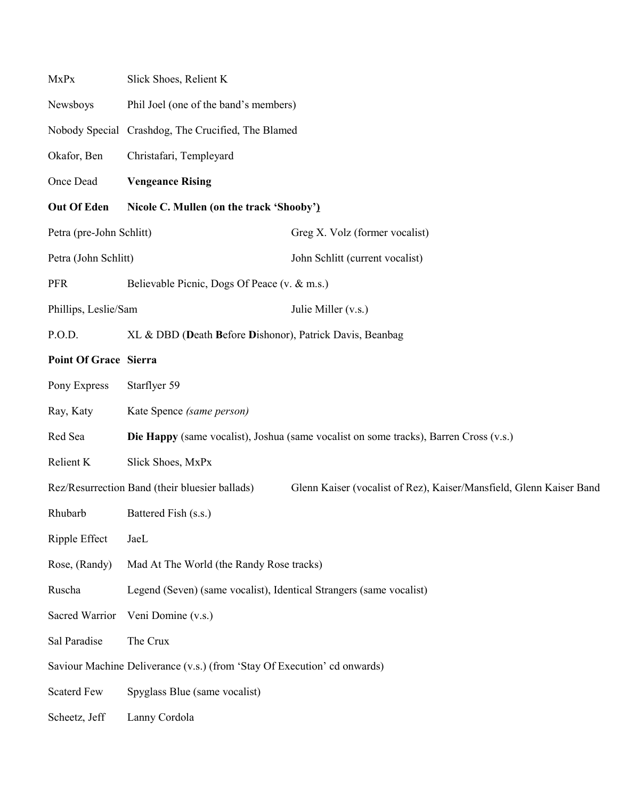| MxPx                                                                     | Slick Shoes, Relient K                                              |                                                                                              |  |
|--------------------------------------------------------------------------|---------------------------------------------------------------------|----------------------------------------------------------------------------------------------|--|
| Newsboys                                                                 | Phil Joel (one of the band's members)                               |                                                                                              |  |
|                                                                          | Nobody Special Crashdog, The Crucified, The Blamed                  |                                                                                              |  |
| Okafor, Ben                                                              | Christafari, Templeyard                                             |                                                                                              |  |
| Once Dead                                                                | <b>Vengeance Rising</b>                                             |                                                                                              |  |
| Out Of Eden                                                              | Nicole C. Mullen (on the track 'Shooby')                            |                                                                                              |  |
| Petra (pre-John Schlitt)                                                 |                                                                     | Greg X. Volz (former vocalist)                                                               |  |
| Petra (John Schlitt)                                                     |                                                                     | John Schlitt (current vocalist)                                                              |  |
| <b>PFR</b>                                                               | Believable Picnic, Dogs Of Peace (v. & m.s.)                        |                                                                                              |  |
| Phillips, Leslie/Sam                                                     |                                                                     | Julie Miller (v.s.)                                                                          |  |
| P.O.D.                                                                   | XL & DBD (Death Before Dishonor), Patrick Davis, Beanbag            |                                                                                              |  |
| <b>Point Of Grace Sierra</b>                                             |                                                                     |                                                                                              |  |
| Pony Express                                                             | Starflyer 59                                                        |                                                                                              |  |
| Ray, Katy                                                                | Kate Spence (same person)                                           |                                                                                              |  |
| Red Sea                                                                  |                                                                     | <b>Die Happy</b> (same vocalist), Joshua (same vocalist on some tracks), Barren Cross (v.s.) |  |
| Relient K                                                                | Slick Shoes, MxPx                                                   |                                                                                              |  |
|                                                                          | Rez/Resurrection Band (their bluesier ballads)                      | Glenn Kaiser (vocalist of Rez), Kaiser/Mansfield, Glenn Kaiser Band                          |  |
| Rhubarb                                                                  | Battered Fish (s.s.)                                                |                                                                                              |  |
| Ripple Effect                                                            | JaeL                                                                |                                                                                              |  |
| Rose, (Randy)                                                            | Mad At The World (the Randy Rose tracks)                            |                                                                                              |  |
| Ruscha                                                                   | Legend (Seven) (same vocalist), Identical Strangers (same vocalist) |                                                                                              |  |
| Sacred Warrior                                                           | Veni Domine (v.s.)                                                  |                                                                                              |  |
| Sal Paradise                                                             | The Crux                                                            |                                                                                              |  |
| Saviour Machine Deliverance (v.s.) (from 'Stay Of Execution' cd onwards) |                                                                     |                                                                                              |  |
| <b>Scaterd Few</b>                                                       | Spyglass Blue (same vocalist)                                       |                                                                                              |  |
| Scheetz, Jeff                                                            | Lanny Cordola                                                       |                                                                                              |  |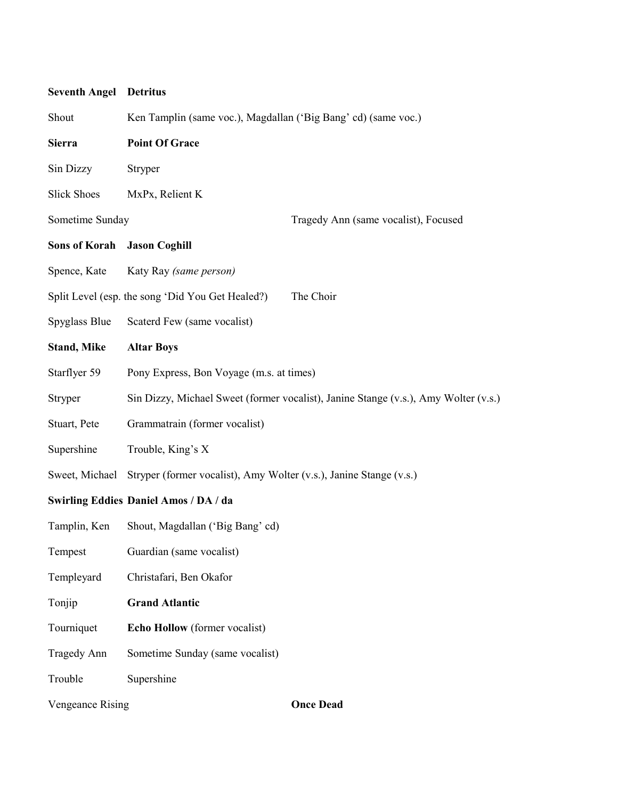| <b>Seventh Angel</b> | <b>Detritus</b>                                                                     |  |
|----------------------|-------------------------------------------------------------------------------------|--|
| Shout                | Ken Tamplin (same voc.), Magdallan ('Big Bang' cd) (same voc.)                      |  |
| <b>Sierra</b>        | <b>Point Of Grace</b>                                                               |  |
| Sin Dizzy            | Stryper                                                                             |  |
| <b>Slick Shoes</b>   | MxPx, Relient K                                                                     |  |
| Sometime Sunday      | Tragedy Ann (same vocalist), Focused                                                |  |
| <b>Sons of Korah</b> | <b>Jason Coghill</b>                                                                |  |
| Spence, Kate         | Katy Ray (same person)                                                              |  |
|                      | The Choir<br>Split Level (esp. the song 'Did You Get Healed?)                       |  |
| Spyglass Blue        | Scaterd Few (same vocalist)                                                         |  |
| <b>Stand, Mike</b>   | <b>Altar Boys</b>                                                                   |  |
| Starflyer 59         | Pony Express, Bon Voyage (m.s. at times)                                            |  |
| Stryper              | Sin Dizzy, Michael Sweet (former vocalist), Janine Stange (v.s.), Amy Wolter (v.s.) |  |
| Stuart, Pete         | Grammatrain (former vocalist)                                                       |  |
| Supershine           | Trouble, King's X                                                                   |  |
| Sweet, Michael       | Stryper (former vocalist), Amy Wolter (v.s.), Janine Stange (v.s.)                  |  |
|                      | Swirling Eddies Daniel Amos / DA / da                                               |  |
| Tamplin, Ken         | Shout, Magdallan ('Big Bang' cd)                                                    |  |
| Tempest              | Guardian (same vocalist)                                                            |  |
| Templeyard           | Christafari, Ben Okafor                                                             |  |
| Tonjip               | <b>Grand Atlantic</b>                                                               |  |
| Tourniquet           | Echo Hollow (former vocalist)                                                       |  |
| <b>Tragedy Ann</b>   | Sometime Sunday (same vocalist)                                                     |  |
| Trouble              | Supershine                                                                          |  |
| Vengeance Rising     | <b>Once Dead</b>                                                                    |  |